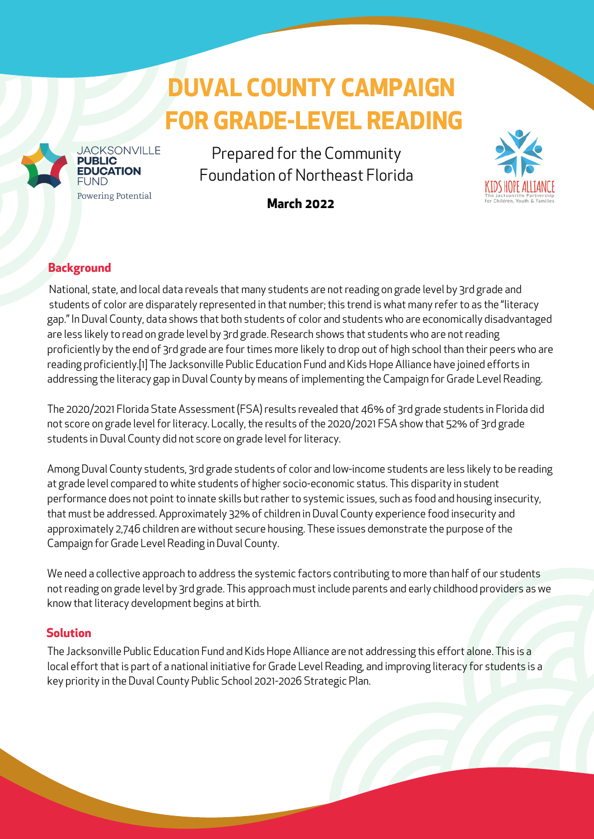# **DUVAL COUNTY CAMPAIGN FOR GRADE-LEVEL READING**



Prepared for the Community Foundation of Northeast Florida

**March 2022**



## **Background**

**JACKSONVILLE** 

Powering Potential

**UBLIC DUCATION** 

National, state, and local data reveals that many students are notreading on grade level by 3rd grade and students of color are disparately represented in that number; this trend is what many refer to as the "literacy gap." In Duval County, data shows that both students of color and students who are economically disadvantaged are less likely to read on grade level by 3rd grade. Research shows that students who are notreading proficiently by the end of 3rd grade are four times more likely to drop out of high school than their peers who are reading proficiently.[1] The Jacksonville Public Education Fund and Kids Hope Alliance have joined efforts in addressing the literacy gap in Duval County by means of implementing the Campaign for Grade Level Reading.

The 2020/2021 Florida State Assessment (FSA) results revealed that 46% of 3rd grade students in Florida did not score on grade level for literacy. Locally, the results of the 2020/2021 FSA show that 52% of 3rd grade students in Duval County did not score on grade level for literacy.

Among Duval County students, 3rd grade students of color and low-income students are less likely to be reading at grade level compared to white students of higher socio-economic status. This disparity in student performance does not point to innate skills but rather to systemic issues, such as food and housing insecurity, that must be addressed. Approximately 32% of children in Duval County experience food insecurity and approximately 2,746 children are without secure housing. These issues demonstrate the purpose of the Campaign for Grade Level Reading in Duval County.

We need a collective approach to address the systemic factors contributing to more than half of our students not reading on grade level by 3rd grade. This approach must include parents and early childhood providers as we know that literacy development begins at birth.

### **Solution**

The Jacksonville Public Education Fund and Kids Hope Alliance are not addressing this effort alone. This is a local effort that is part of a national initiative for Grade Level [Reading](https://gradelevelreading.net/), and improving literacy for students is a key priority in the Duval County Public School [2021-2026](https://dcps.duvalschools.org/cms/lib/FL01903657/Centricity/Domain/4440/2021-2026%20Strategic%20Plan%20Remediated.pdf) Strategic Plan.